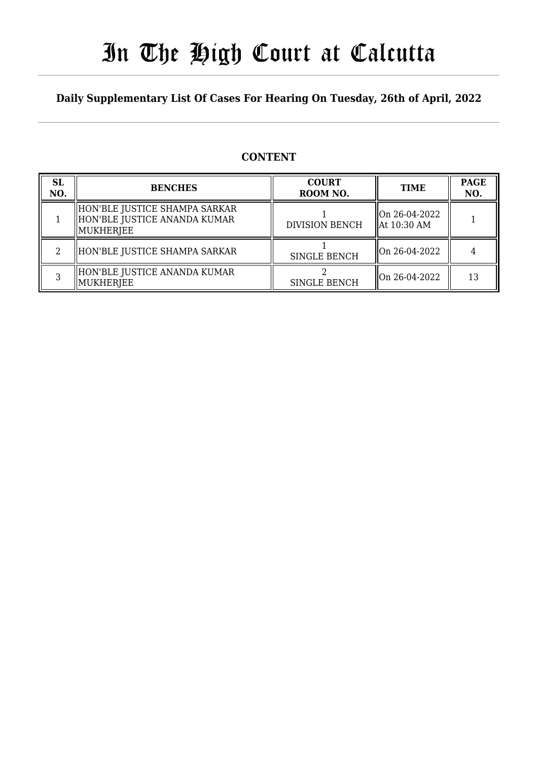## In The High Court at Calcutta

### **Daily Supplementary List Of Cases For Hearing On Tuesday, 26th of April, 2022**

### **CONTENT**

| <b>SL</b><br>NO. | <b>BENCHES</b>                                                                 | <b>COURT</b><br>ROOM NO. | <b>TIME</b>                              | <b>PAGE</b><br>NO. |
|------------------|--------------------------------------------------------------------------------|--------------------------|------------------------------------------|--------------------|
|                  | HON'BLE JUSTICE SHAMPA SARKAR<br>  HON'BLE JUSTICE ANANDA KUMAR<br>  MUKHERJEE | <b>DIVISION BENCH</b>    | On 26-04-2022<br>$\parallel$ At 10:30 AM |                    |
|                  | HON'BLE JUSTICE SHAMPA SARKAR                                                  | <b>SINGLE BENCH</b>      | $\parallel$ On 26-04-2022                |                    |
|                  | HON'BLE JUSTICE ANANDA KUMAR<br>MUKHERJEE                                      | <b>SINGLE BENCH</b>      | $\parallel$ On 26-04-2022                | 13                 |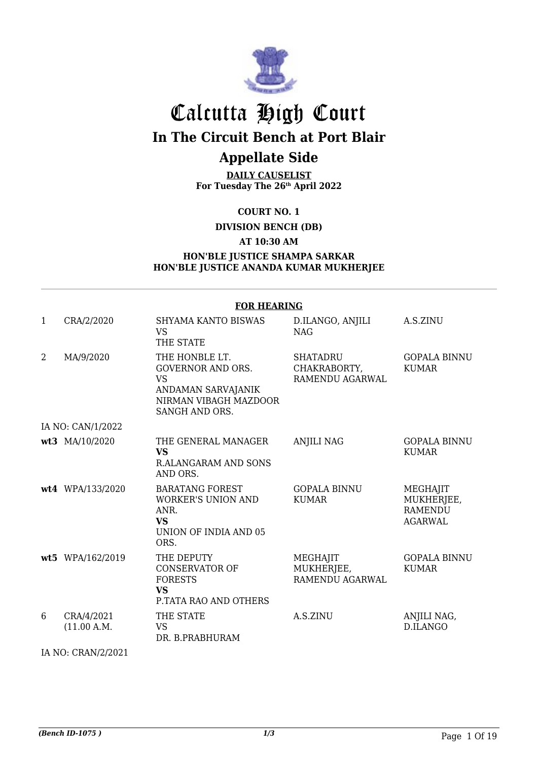

## Calcutta High Court **In The Circuit Bench at Port Blair**

## **Appellate Side**

**DAILY CAUSELIST For Tuesday The 26th April 2022**

**COURT NO. 1**

**DIVISION BENCH (DB)**

**AT 10:30 AM**

#### **HON'BLE JUSTICE SHAMPA SARKAR HON'BLE JUSTICE ANANDA KUMAR MUKHERJEE**

|                | <b>FOR HEARING</b>        |                                                                                                                          |                                                    |                                                            |  |  |  |
|----------------|---------------------------|--------------------------------------------------------------------------------------------------------------------------|----------------------------------------------------|------------------------------------------------------------|--|--|--|
| $\mathbf{1}$   | CRA/2/2020                | <b>SHYAMA KANTO BISWAS</b><br><b>VS</b><br>THE STATE                                                                     | D.ILANGO, ANJILI<br><b>NAG</b>                     | A.S.ZINU                                                   |  |  |  |
| $\overline{2}$ | MA/9/2020                 | THE HONBLE LT.<br><b>GOVERNOR AND ORS.</b><br><b>VS</b><br>ANDAMAN SARVAJANIK<br>NIRMAN VIBAGH MAZDOOR<br>SANGH AND ORS. | <b>SHATADRU</b><br>CHAKRABORTY,<br>RAMENDU AGARWAL | <b>GOPALA BINNU</b><br><b>KUMAR</b>                        |  |  |  |
|                | IA NO: CAN/1/2022         |                                                                                                                          |                                                    |                                                            |  |  |  |
|                | wt3 MA/10/2020            | THE GENERAL MANAGER<br><b>VS</b><br><b>R.ALANGARAM AND SONS</b><br>AND ORS.                                              | <b>ANJILI NAG</b>                                  | <b>GOPALA BINNU</b><br><b>KUMAR</b>                        |  |  |  |
|                | wt4 WPA/133/2020          | <b>BARATANG FOREST</b><br><b>WORKER'S UNION AND</b><br>ANR.<br><b>VS</b><br><b>UNION OF INDIA AND 05</b><br>ORS.         | <b>GOPALA BINNU</b><br><b>KUMAR</b>                | MEGHAJIT<br>MUKHERJEE,<br><b>RAMENDU</b><br><b>AGARWAL</b> |  |  |  |
|                | wt5 WPA/162/2019          | THE DEPUTY<br><b>CONSERVATOR OF</b><br><b>FORESTS</b><br><b>VS</b><br>P.TATA RAO AND OTHERS                              | MEGHAJIT<br>MUKHERJEE,<br><b>RAMENDU AGARWAL</b>   | <b>GOPALA BINNU</b><br><b>KUMAR</b>                        |  |  |  |
| 6              | CRA/4/2021<br>(11.00 A.M. | THE STATE<br><b>VS</b><br>DR. B.PRABHURAM                                                                                | A.S.ZINU                                           | ANJILI NAG,<br>D.ILANGO                                    |  |  |  |

IA NO: CRAN/2/2021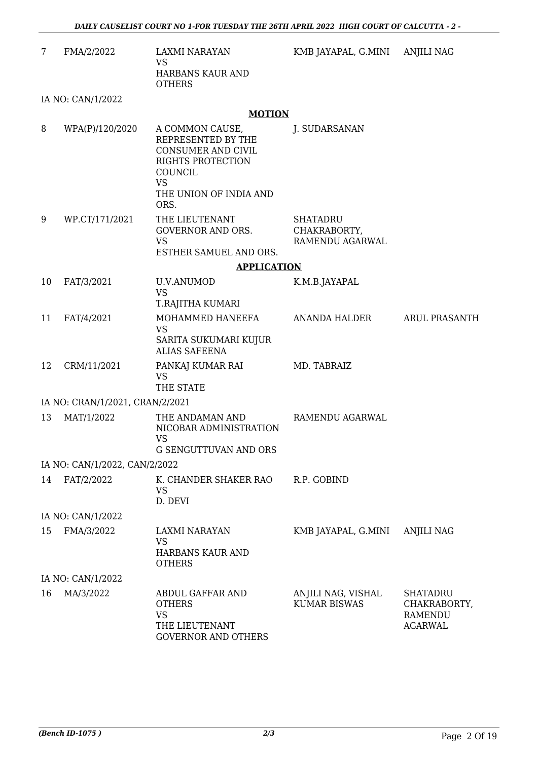| FMA/2/2022 | LAXMI NARAYAN<br>VS<br>HARBANS KAUR AND<br><b>OTHERS</b> |
|------------|----------------------------------------------------------|
|            |                                                          |

KMB JAYAPAL, G.MINI ANJILI NAG

IA NO: CAN/1/2022

#### **MOTION**

| 8  | WPA(P)/120/2020                 | A COMMON CAUSE,<br>REPRESENTED BY THE<br>CONSUMER AND CIVIL<br>RIGHTS PROTECTION<br>COUNCIL<br><b>VS</b><br>THE UNION OF INDIA AND<br>ORS. | J. SUDARSANAN                                      |                                                       |
|----|---------------------------------|--------------------------------------------------------------------------------------------------------------------------------------------|----------------------------------------------------|-------------------------------------------------------|
| 9  | WP.CT/171/2021                  | THE LIEUTENANT<br>GOVERNOR AND ORS.<br><b>VS</b><br>ESTHER SAMUEL AND ORS.                                                                 | <b>SHATADRU</b><br>CHAKRABORTY,<br>RAMENDU AGARWAL |                                                       |
|    |                                 | <b>APPLICATION</b>                                                                                                                         |                                                    |                                                       |
| 10 | FAT/3/2021                      | <b>U.V.ANUMOD</b><br><b>VS</b><br>T.RAJITHA KUMARI                                                                                         | K.M.B.JAYAPAL                                      |                                                       |
| 11 | FAT/4/2021                      | MOHAMMED HANEEFA<br><b>VS</b><br>SARITA SUKUMARI KUJUR<br><b>ALIAS SAFEENA</b>                                                             | ANANDA HALDER                                      | <b>ARUL PRASANTH</b>                                  |
| 12 | CRM/11/2021                     | PANKAJ KUMAR RAI<br><b>VS</b><br>THE STATE                                                                                                 | MD. TABRAIZ                                        |                                                       |
|    | IA NO: CRAN/1/2021, CRAN/2/2021 |                                                                                                                                            |                                                    |                                                       |
| 13 | MAT/1/2022                      | THE ANDAMAN AND<br>NICOBAR ADMINISTRATION<br><b>VS</b><br><b>G SENGUTTUVAN AND ORS</b>                                                     | RAMENDU AGARWAL                                    |                                                       |
|    | IA NO: CAN/1/2022, CAN/2/2022   |                                                                                                                                            |                                                    |                                                       |
| 14 | FAT/2/2022                      | K. CHANDER SHAKER RAO R.P. GOBIND<br><b>VS</b><br>D. DEVI                                                                                  |                                                    |                                                       |
|    | IA NO: CAN/1/2022               |                                                                                                                                            |                                                    |                                                       |
| 15 | FMA/3/2022                      | <b>LAXMI NARAYAN</b><br><b>VS</b><br><b>HARBANS KAUR AND</b><br><b>OTHERS</b>                                                              | KMB JAYAPAL, G.MINI                                | <b>ANJILI NAG</b>                                     |
|    | IA NO: CAN/1/2022               |                                                                                                                                            |                                                    |                                                       |
| 16 | MA/3/2022                       | ABDUL GAFFAR AND<br><b>OTHERS</b><br><b>VS</b><br>THE LIEUTENANT<br><b>GOVERNOR AND OTHERS</b>                                             | ANJILI NAG, VISHAL<br><b>KUMAR BISWAS</b>          | SHATADRU<br>CHAKRABORTY,<br>RAMENDU<br><b>AGARWAL</b> |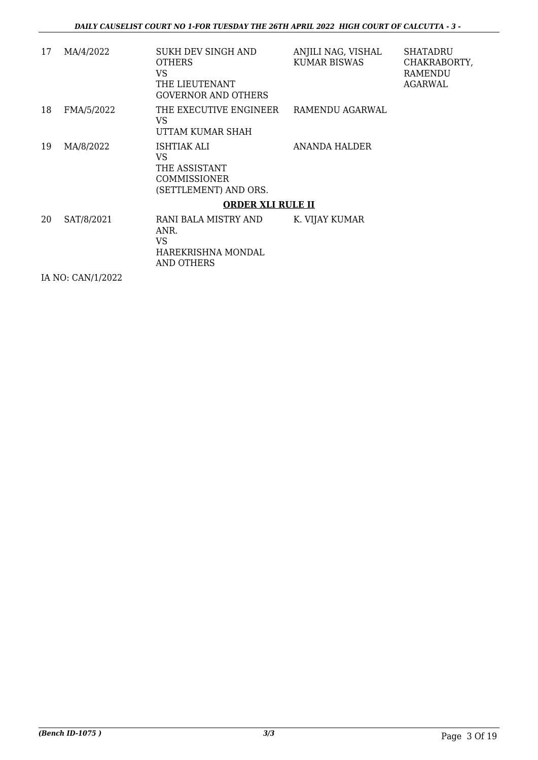| 17 | MA/4/2022         | SUKH DEV SINGH AND<br><b>OTHERS</b><br>VS.<br>THE LIEUTENANT<br><b>GOVERNOR AND OTHERS</b> | ANJILI NAG, VISHAL<br><b>KUMAR BISWAS</b> | <b>SHATADRU</b><br>CHAKRABORTY,<br><b>RAMENDU</b><br>AGARWAL |
|----|-------------------|--------------------------------------------------------------------------------------------|-------------------------------------------|--------------------------------------------------------------|
| 18 | FMA/5/2022        | THE EXECUTIVE ENGINEER<br>VS<br>UTTAM KUMAR SHAH                                           | RAMENDU AGARWAL                           |                                                              |
| 19 | MA/8/2022         | ISHTIAK ALI<br>VS<br>THE ASSISTANT<br><b>COMMISSIONER</b><br>(SETTLEMENT) AND ORS.         | ANANDA HALDER                             |                                                              |
|    |                   | <b>ORDER XLI RULE II</b>                                                                   |                                           |                                                              |
| 20 | SAT/8/2021        | RANI BALA MISTRY AND<br>ANR.<br><b>VS</b><br>HAREKRISHNA MONDAL<br><b>AND OTHERS</b>       | K. VIJAY KUMAR                            |                                                              |
|    | IA NO: CAN/1/2022 |                                                                                            |                                           |                                                              |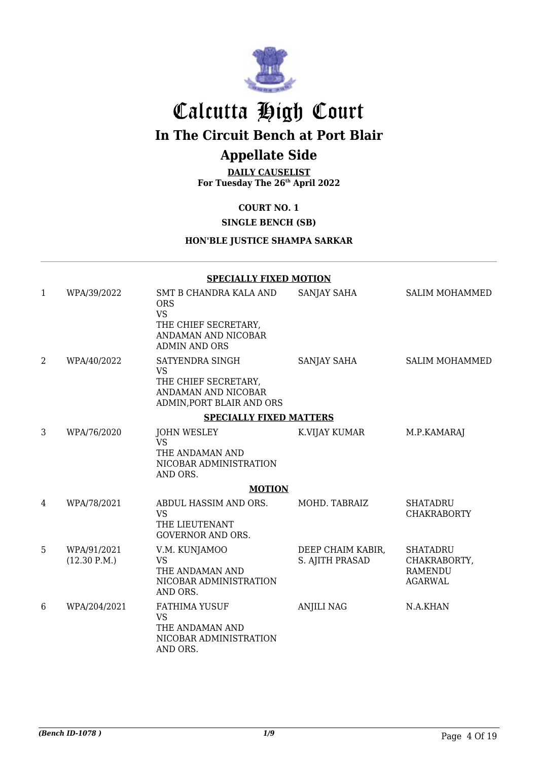

## Calcutta High Court

**In The Circuit Bench at Port Blair**

## **Appellate Side**

**DAILY CAUSELIST For Tuesday The 26th April 2022**

#### **COURT NO. 1**

#### **SINGLE BENCH (SB)**

#### **HON'BLE JUSTICE SHAMPA SARKAR**

#### **SPECIALLY FIXED MOTION**

| $\mathbf{1}$   | WPA/39/2022                 | SMT B CHANDRA KALA AND<br><b>ORS</b><br><b>VS</b><br>THE CHIEF SECRETARY,<br>ANDAMAN AND NICOBAR<br><b>ADMIN AND ORS</b> | SANJAY SAHA                          | <b>SALIM MOHAMMED</b>                                               |
|----------------|-----------------------------|--------------------------------------------------------------------------------------------------------------------------|--------------------------------------|---------------------------------------------------------------------|
| $\overline{2}$ | WPA/40/2022                 | SATYENDRA SINGH<br><b>VS</b><br>THE CHIEF SECRETARY,<br>ANDAMAN AND NICOBAR<br>ADMIN, PORT BLAIR AND ORS                 | <b>SANJAY SAHA</b>                   | <b>SALIM MOHAMMED</b>                                               |
|                |                             | <b>SPECIALLY FIXED MATTERS</b>                                                                                           |                                      |                                                                     |
| 3              | WPA/76/2020                 | <b>JOHN WESLEY</b><br><b>VS</b><br>THE ANDAMAN AND<br>NICOBAR ADMINISTRATION<br>AND ORS.                                 | K.VIJAY KUMAR                        | M.P.KAMARAJ                                                         |
|                |                             | <b>MOTION</b>                                                                                                            |                                      |                                                                     |
| 4              | WPA/78/2021                 | ABDUL HASSIM AND ORS.<br><b>VS</b><br>THE LIEUTENANT<br><b>GOVERNOR AND ORS.</b>                                         | MOHD. TABRAIZ                        | <b>SHATADRU</b><br><b>CHAKRABORTY</b>                               |
| 5              | WPA/91/2021<br>(12.30 P.M.) | V.M. KUNJAMOO<br><b>VS</b><br>THE ANDAMAN AND<br>NICOBAR ADMINISTRATION<br>AND ORS.                                      | DEEP CHAIM KABIR,<br>S. AJITH PRASAD | <b>SHATADRU</b><br>CHAKRABORTY,<br><b>RAMENDU</b><br><b>AGARWAL</b> |
| 6              | WPA/204/2021                | <b>FATHIMA YUSUF</b><br><b>VS</b><br>THE ANDAMAN AND<br>NICOBAR ADMINISTRATION<br>AND ORS.                               | <b>ANJILI NAG</b>                    | N.A.KHAN                                                            |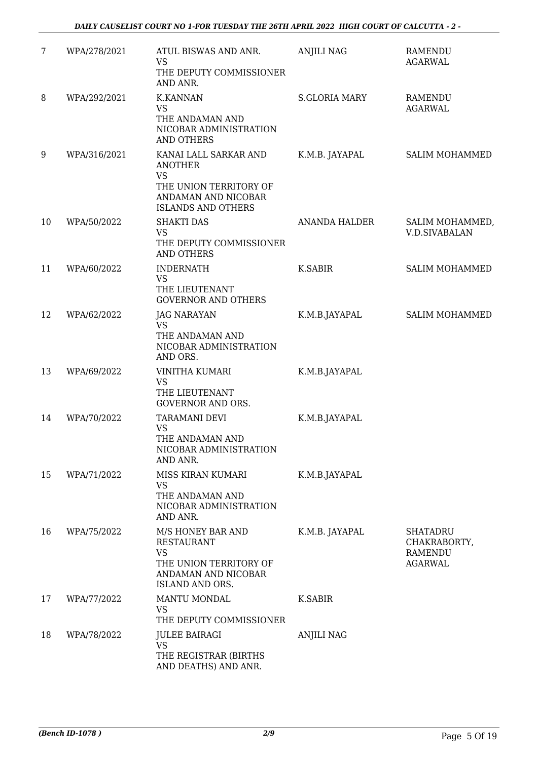| 7  | WPA/278/2021 | ATUL BISWAS AND ANR.<br><b>VS</b>                                                                                                  | <b>ANJILI NAG</b>    | <b>RAMENDU</b><br><b>AGARWAL</b>                             |
|----|--------------|------------------------------------------------------------------------------------------------------------------------------------|----------------------|--------------------------------------------------------------|
|    |              | THE DEPUTY COMMISSIONER<br>AND ANR.                                                                                                |                      |                                                              |
| 8  | WPA/292/2021 | <b>K.KANNAN</b><br><b>VS</b><br>THE ANDAMAN AND<br>NICOBAR ADMINISTRATION<br><b>AND OTHERS</b>                                     | <b>S.GLORIA MARY</b> | RAMENDU<br><b>AGARWAL</b>                                    |
| 9  | WPA/316/2021 | KANAI LALL SARKAR AND<br><b>ANOTHER</b><br><b>VS</b><br>THE UNION TERRITORY OF<br>ANDAMAN AND NICOBAR<br><b>ISLANDS AND OTHERS</b> | K.M.B. JAYAPAL       | <b>SALIM MOHAMMED</b>                                        |
| 10 | WPA/50/2022  | <b>SHAKTI DAS</b><br><b>VS</b><br>THE DEPUTY COMMISSIONER<br><b>AND OTHERS</b>                                                     | ANANDA HALDER        | SALIM MOHAMMED,<br><b>V.D.SIVABALAN</b>                      |
| 11 | WPA/60/2022  | <b>INDERNATH</b><br><b>VS</b><br>THE LIEUTENANT<br><b>GOVERNOR AND OTHERS</b>                                                      | <b>K.SABIR</b>       | SALIM MOHAMMED                                               |
| 12 | WPA/62/2022  | <b>JAG NARAYAN</b><br><b>VS</b><br>THE ANDAMAN AND<br>NICOBAR ADMINISTRATION<br>AND ORS.                                           | K.M.B.JAYAPAL        | SALIM MOHAMMED                                               |
| 13 | WPA/69/2022  | <b>VINITHA KUMARI</b><br><b>VS</b><br>THE LIEUTENANT<br><b>GOVERNOR AND ORS.</b>                                                   | K.M.B.JAYAPAL        |                                                              |
| 14 | WPA/70/2022  | TARAMANI DEVI<br>VS<br>THE ANDAMAN AND<br>NICOBAR ADMINISTRATION<br>AND ANR.                                                       | K.M.B.JAYAPAL        |                                                              |
| 15 | WPA/71/2022  | MISS KIRAN KUMARI<br><b>VS</b><br>THE ANDAMAN AND<br>NICOBAR ADMINISTRATION<br>AND ANR.                                            | K.M.B.JAYAPAL        |                                                              |
| 16 | WPA/75/2022  | M/S HONEY BAR AND<br><b>RESTAURANT</b><br>VS<br>THE UNION TERRITORY OF<br>ANDAMAN AND NICOBAR<br><b>ISLAND AND ORS.</b>            | K.M.B. JAYAPAL       | <b>SHATADRU</b><br>CHAKRABORTY,<br>RAMENDU<br><b>AGARWAL</b> |
| 17 | WPA/77/2022  | MANTU MONDAL<br>VS<br>THE DEPUTY COMMISSIONER                                                                                      | K.SABIR              |                                                              |
| 18 | WPA/78/2022  | <b>JULEE BAIRAGI</b><br><b>VS</b><br>THE REGISTRAR (BIRTHS<br>AND DEATHS) AND ANR.                                                 | <b>ANJILI NAG</b>    |                                                              |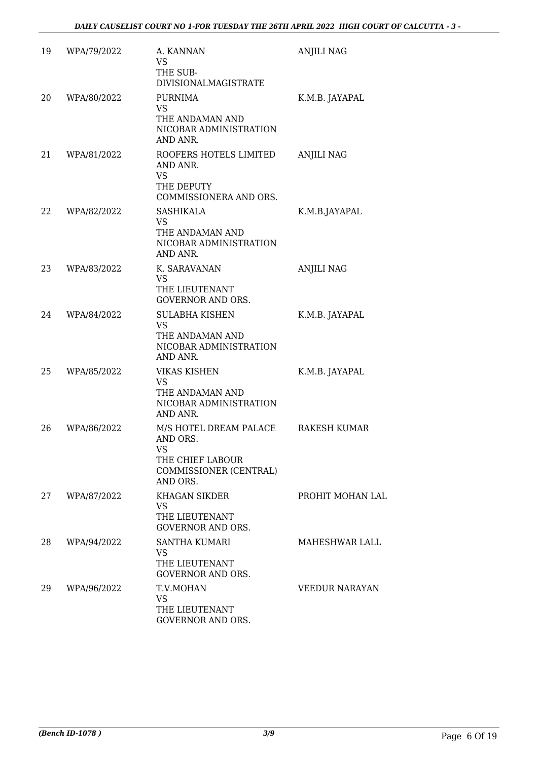| 19 | WPA/79/2022 | A. KANNAN<br><b>VS</b><br>THE SUB-<br><b>DIVISIONALMAGISTRATE</b>                                         | <b>ANJILI NAG</b>     |
|----|-------------|-----------------------------------------------------------------------------------------------------------|-----------------------|
| 20 | WPA/80/2022 | <b>PURNIMA</b><br><b>VS</b><br>THE ANDAMAN AND<br>NICOBAR ADMINISTRATION<br>AND ANR.                      | K.M.B. JAYAPAL        |
| 21 | WPA/81/2022 | ROOFERS HOTELS LIMITED<br>AND ANR.<br><b>VS</b><br>THE DEPUTY<br>COMMISSIONERA AND ORS.                   | <b>ANJILI NAG</b>     |
| 22 | WPA/82/2022 | SASHIKALA<br><b>VS</b><br>THE ANDAMAN AND<br>NICOBAR ADMINISTRATION<br>AND ANR.                           | K.M.B.JAYAPAL         |
| 23 | WPA/83/2022 | K. SARAVANAN<br><b>VS</b><br>THE LIEUTENANT<br><b>GOVERNOR AND ORS.</b>                                   | <b>ANJILI NAG</b>     |
| 24 | WPA/84/2022 | <b>SULABHA KISHEN</b><br><b>VS</b><br>THE ANDAMAN AND<br>NICOBAR ADMINISTRATION<br>AND ANR.               | K.M.B. JAYAPAL        |
| 25 | WPA/85/2022 | <b>VIKAS KISHEN</b><br><b>VS</b><br>THE ANDAMAN AND<br>NICOBAR ADMINISTRATION<br>AND ANR.                 | K.M.B. JAYAPAL        |
| 26 | WPA/86/2022 | M/S HOTEL DREAM PALACE<br>AND ORS.<br><b>VS</b><br>THE CHIEF LABOUR<br>COMMISSIONER (CENTRAL)<br>AND ORS. | <b>RAKESH KUMAR</b>   |
| 27 | WPA/87/2022 | <b>KHAGAN SIKDER</b><br>VS<br>THE LIEUTENANT<br><b>GOVERNOR AND ORS.</b>                                  | PROHIT MOHAN LAL      |
| 28 | WPA/94/2022 | SANTHA KUMARI<br>VS.<br>THE LIEUTENANT<br><b>GOVERNOR AND ORS.</b>                                        | <b>MAHESHWAR LALL</b> |
| 29 | WPA/96/2022 | T.V.MOHAN<br><b>VS</b><br>THE LIEUTENANT<br>GOVERNOR AND ORS.                                             | <b>VEEDUR NARAYAN</b> |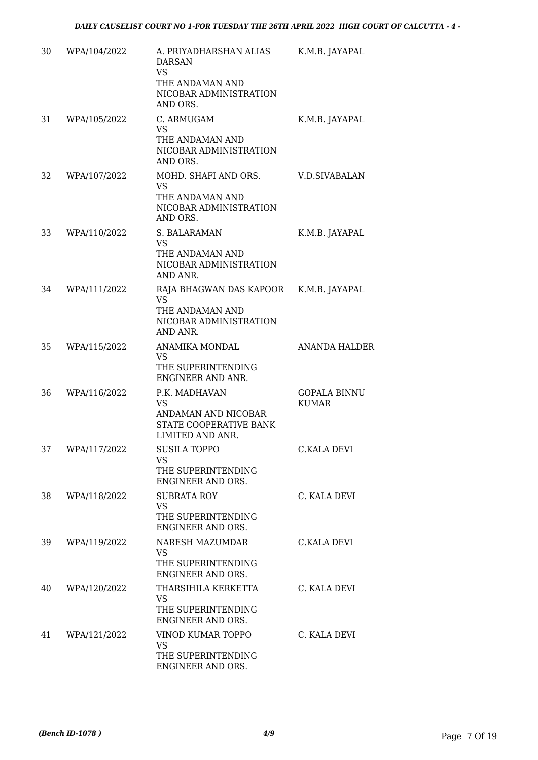| 30 | WPA/104/2022 | A. PRIYADHARSHAN ALIAS<br><b>DARSAN</b><br>VS<br>THE ANDAMAN AND<br>NICOBAR ADMINISTRATION      | K.M.B. JAYAPAL                      |
|----|--------------|-------------------------------------------------------------------------------------------------|-------------------------------------|
| 31 | WPA/105/2022 | AND ORS.<br>C. ARMUGAM<br>VS<br>THE ANDAMAN AND                                                 | K.M.B. JAYAPAL                      |
|    |              | NICOBAR ADMINISTRATION<br>AND ORS.                                                              |                                     |
| 32 | WPA/107/2022 | MOHD. SHAFI AND ORS.<br><b>VS</b>                                                               | <b>V.D.SIVABALAN</b>                |
|    |              | THE ANDAMAN AND<br>NICOBAR ADMINISTRATION<br>AND ORS.                                           |                                     |
| 33 | WPA/110/2022 | S. BALARAMAN<br><b>VS</b><br>THE ANDAMAN AND<br>NICOBAR ADMINISTRATION<br>AND ANR.              | K.M.B. JAYAPAL                      |
| 34 | WPA/111/2022 | RAJA BHAGWAN DAS KAPOOR<br><b>VS</b><br>THE ANDAMAN AND<br>NICOBAR ADMINISTRATION<br>AND ANR.   | K.M.B. JAYAPAL                      |
| 35 | WPA/115/2022 | ANAMIKA MONDAL<br>VS<br>THE SUPERINTENDING<br>ENGINEER AND ANR.                                 | <b>ANANDA HALDER</b>                |
| 36 | WPA/116/2022 | P.K. MADHAVAN<br><b>VS</b><br>ANDAMAN AND NICOBAR<br>STATE COOPERATIVE BANK<br>LIMITED AND ANR. | <b>GOPALA BINNU</b><br><b>KUMAR</b> |
| 37 | WPA/117/2022 | <b>SUSILA TOPPO</b><br>VS.<br>THE SUPERINTENDING<br>ENGINEER AND ORS.                           | C.KALA DEVI                         |
| 38 | WPA/118/2022 | <b>SUBRATA ROY</b><br><b>VS</b><br>THE SUPERINTENDING<br>ENGINEER AND ORS.                      | C. KALA DEVI                        |
| 39 | WPA/119/2022 | NARESH MAZUMDAR<br><b>VS</b><br>THE SUPERINTENDING<br>ENGINEER AND ORS.                         | C.KALA DEVI                         |
| 40 | WPA/120/2022 | THARSIHILA KERKETTA<br>VS.<br>THE SUPERINTENDING<br>ENGINEER AND ORS.                           | C. KALA DEVI                        |
| 41 | WPA/121/2022 | VINOD KUMAR TOPPO<br>VS<br>THE SUPERINTENDING<br>ENGINEER AND ORS.                              | C. KALA DEVI                        |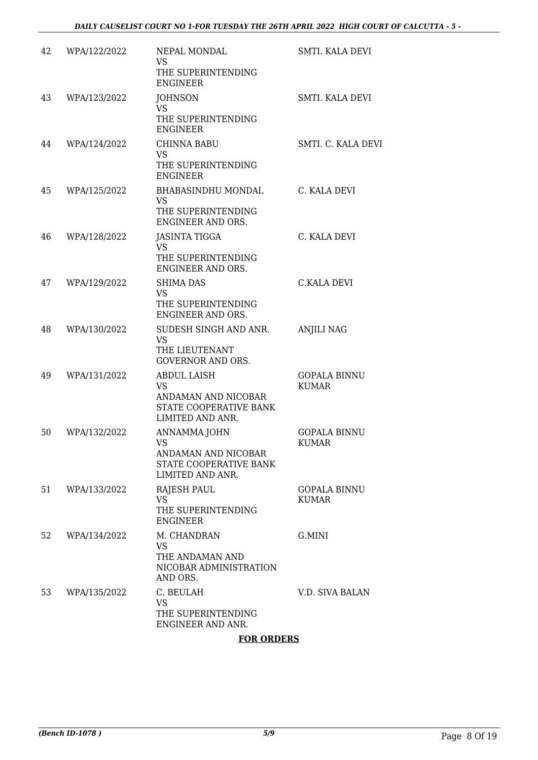| 42 | WPA/122/2022 | NEPAL MONDAL<br><b>VS</b><br>THE SUPERINTENDING<br><b>ENGINEER</b>                                   | SMTI. KALA DEVI                     |
|----|--------------|------------------------------------------------------------------------------------------------------|-------------------------------------|
| 43 | WPA/123/2022 | <b>JOHNSON</b><br><b>VS</b><br>THE SUPERINTENDING<br><b>ENGINEER</b>                                 | <b>SMTI. KALA DEVI</b>              |
| 44 | WPA/124/2022 | <b>CHINNA BABU</b><br><b>VS</b><br>THE SUPERINTENDING<br><b>ENGINEER</b>                             | SMTI. C. KALA DEVI                  |
| 45 | WPA/125/2022 | BHABASINDHU MONDAL<br><b>VS</b><br>THE SUPERINTENDING<br>ENGINEER AND ORS.                           | C. KALA DEVI                        |
| 46 | WPA/128/2022 | <b>JASINTA TIGGA</b><br><b>VS</b><br>THE SUPERINTENDING<br>ENGINEER AND ORS.                         | C. KALA DEVI                        |
| 47 | WPA/129/2022 | <b>SHIMA DAS</b><br><b>VS</b><br>THE SUPERINTENDING<br>ENGINEER AND ORS.                             | <b>C.KALA DEVI</b>                  |
| 48 | WPA/130/2022 | SUDESH SINGH AND ANR.<br><b>VS</b><br>THE LIEUTENANT<br><b>GOVERNOR AND ORS.</b>                     | <b>ANJILI NAG</b>                   |
| 49 | WPA/131/2022 | <b>ABDUL LAISH</b><br><b>VS</b><br>ANDAMAN AND NICOBAR<br>STATE COOPERATIVE BANK<br>LIMITED AND ANR. | <b>GOPALA BINNU</b><br><b>KUMAR</b> |
| 50 | WPA/132/2022 | ANNAMMA JOHN<br><b>VS</b><br>ANDAMAN AND NICOBAR<br>STATE COOPERATIVE BANK<br>LIMITED AND ANR.       | <b>GOPALA BINNU</b><br><b>KUMAR</b> |
| 51 | WPA/133/2022 | <b>RAJESH PAUL</b><br><b>VS</b><br>THE SUPERINTENDING<br><b>ENGINEER</b>                             | <b>GOPALA BINNU</b><br><b>KUMAR</b> |
| 52 | WPA/134/2022 | M. CHANDRAN<br><b>VS</b><br>THE ANDAMAN AND<br>NICOBAR ADMINISTRATION<br>AND ORS.                    | G.MINI                              |
| 53 | WPA/135/2022 | C. BEULAH<br><b>VS</b><br>THE SUPERINTENDING<br>ENGINEER AND ANR.                                    | V.D. SIVA BALAN                     |

#### **FOR ORDERS**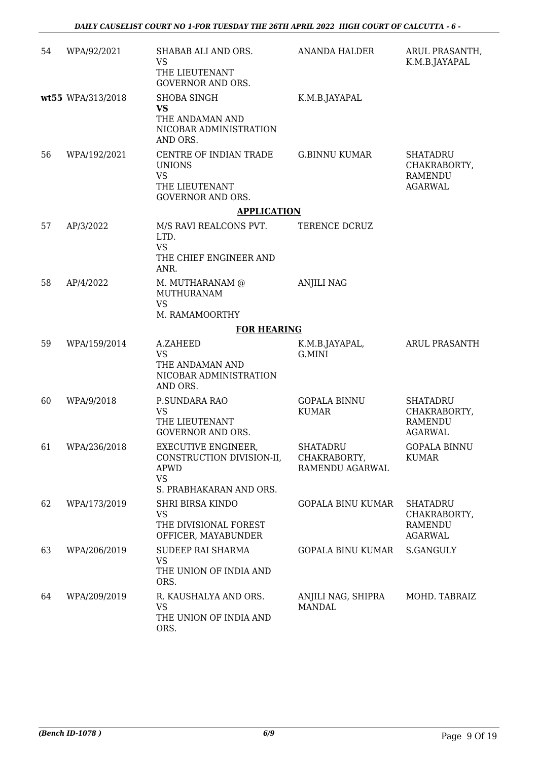| 54 | WPA/92/2021       | SHABAB ALI AND ORS.<br><b>VS</b><br>THE LIEUTENANT<br><b>GOVERNOR AND ORS.</b>                          | ANANDA HALDER                               | ARUL PRASANTH,<br>K.M.B.JAYAPAL                                     |
|----|-------------------|---------------------------------------------------------------------------------------------------------|---------------------------------------------|---------------------------------------------------------------------|
|    | wt55 WPA/313/2018 | <b>SHOBA SINGH</b><br>VS<br>THE ANDAMAN AND<br>NICOBAR ADMINISTRATION<br>AND ORS.                       | K.M.B.JAYAPAL                               |                                                                     |
| 56 | WPA/192/2021      | CENTRE OF INDIAN TRADE<br><b>UNIONS</b><br><b>VS</b><br>THE LIEUTENANT<br>GOVERNOR AND ORS.             | <b>G.BINNU KUMAR</b>                        | <b>SHATADRU</b><br>CHAKRABORTY,<br>RAMENDU<br><b>AGARWAL</b>        |
|    |                   | <b>APPLICATION</b>                                                                                      |                                             |                                                                     |
| 57 | AP/3/2022         | M/S RAVI REALCONS PVT.<br>LTD.<br><b>VS</b><br>THE CHIEF ENGINEER AND<br>ANR.                           | TERENCE DCRUZ                               |                                                                     |
| 58 | AP/4/2022         | M. MUTHARANAM @<br>MUTHURANAM<br><b>VS</b><br>M. RAMAMOORTHY                                            | <b>ANJILI NAG</b>                           |                                                                     |
|    |                   | <b>FOR HEARING</b>                                                                                      |                                             |                                                                     |
| 59 | WPA/159/2014      | A.ZAHEED<br><b>VS</b><br>THE ANDAMAN AND<br>NICOBAR ADMINISTRATION<br>AND ORS.                          | K.M.B.JAYAPAL,<br>G.MINI                    | <b>ARUL PRASANTH</b>                                                |
| 60 | WPA/9/2018        | P.SUNDARA RAO<br><b>VS</b><br>THE LIEUTENANT<br><b>GOVERNOR AND ORS.</b>                                | <b>GOPALA BINNU</b><br><b>KUMAR</b>         | <b>SHATADRU</b><br>CHAKRABORTY,<br><b>RAMENDU</b><br><b>AGARWAL</b> |
|    | 61 WPA/236/2018   | EXECUTIVE ENGINEER,<br>CONSTRUCTION DIVISION-II,<br><b>APWD</b><br><b>VS</b><br>S. PRABHAKARAN AND ORS. | SHATADRU<br>CHAKRABORTY,<br>RAMENDU AGARWAL | <b>GOPALA BINNU</b><br><b>KUMAR</b>                                 |
| 62 | WPA/173/2019      | <b>SHRI BIRSA KINDO</b><br>VS<br>THE DIVISIONAL FOREST<br>OFFICER, MAYABUNDER                           | <b>GOPALA BINU KUMAR</b>                    | <b>SHATADRU</b><br>CHAKRABORTY,<br>RAMENDU<br><b>AGARWAL</b>        |
| 63 | WPA/206/2019      | SUDEEP RAI SHARMA<br><b>VS</b><br>THE UNION OF INDIA AND<br>ORS.                                        | GOPALA BINU KUMAR                           | S.GANGULY                                                           |
| 64 | WPA/209/2019      | R. KAUSHALYA AND ORS.<br>VS<br>THE UNION OF INDIA AND<br>ORS.                                           | ANJILI NAG, SHIPRA<br><b>MANDAL</b>         | MOHD. TABRAIZ                                                       |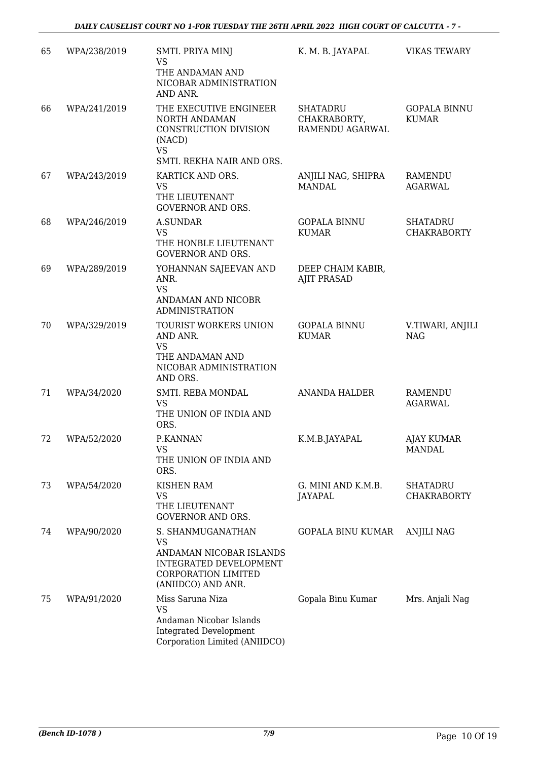| 65 | WPA/238/2019 | SMTI. PRIYA MINJ<br><b>VS</b><br>THE ANDAMAN AND<br>NICOBAR ADMINISTRATION<br>AND ANR.                                           | K. M. B. JAYAPAL                                   | <b>VIKAS TEWARY</b>                   |
|----|--------------|----------------------------------------------------------------------------------------------------------------------------------|----------------------------------------------------|---------------------------------------|
| 66 | WPA/241/2019 | THE EXECUTIVE ENGINEER<br>NORTH ANDAMAN<br>CONSTRUCTION DIVISION<br>(NACD)<br><b>VS</b><br>SMTI. REKHA NAIR AND ORS.             | <b>SHATADRU</b><br>CHAKRABORTY,<br>RAMENDU AGARWAL | <b>GOPALA BINNU</b><br><b>KUMAR</b>   |
| 67 | WPA/243/2019 | KARTICK AND ORS.<br><b>VS</b><br>THE LIEUTENANT<br><b>GOVERNOR AND ORS.</b>                                                      | ANJILI NAG, SHIPRA<br><b>MANDAL</b>                | RAMENDU<br><b>AGARWAL</b>             |
| 68 | WPA/246/2019 | A.SUNDAR<br><b>VS</b><br>THE HONBLE LIEUTENANT<br><b>GOVERNOR AND ORS.</b>                                                       | <b>GOPALA BINNU</b><br><b>KUMAR</b>                | <b>SHATADRU</b><br><b>CHAKRABORTY</b> |
| 69 | WPA/289/2019 | YOHANNAN SAJEEVAN AND<br>ANR.<br><b>VS</b><br>ANDAMAN AND NICOBR<br><b>ADMINISTRATION</b>                                        | DEEP CHAIM KABIR,<br><b>AJIT PRASAD</b>            |                                       |
| 70 | WPA/329/2019 | TOURIST WORKERS UNION<br>AND ANR.<br><b>VS</b><br>THE ANDAMAN AND<br>NICOBAR ADMINISTRATION<br>AND ORS.                          | <b>GOPALA BINNU</b><br><b>KUMAR</b>                | V.TIWARI, ANJILI<br><b>NAG</b>        |
| 71 | WPA/34/2020  | SMTI. REBA MONDAL<br><b>VS</b><br>THE UNION OF INDIA AND<br>ORS.                                                                 | <b>ANANDA HALDER</b>                               | <b>RAMENDU</b><br>AGARWAL             |
| 72 | WPA/52/2020  | P.KANNAN<br>VS<br>THE UNION OF INDIA AND<br>ORS.                                                                                 | K.M.B.JAYAPAL                                      | <b>AJAY KUMAR</b><br>MANDAL           |
| 73 | WPA/54/2020  | <b>KISHEN RAM</b><br><b>VS</b><br>THE LIEUTENANT<br><b>GOVERNOR AND ORS.</b>                                                     | G. MINI AND K.M.B.<br><b>JAYAPAL</b>               | <b>SHATADRU</b><br><b>CHAKRABORTY</b> |
| 74 | WPA/90/2020  | S. SHANMUGANATHAN<br>VS<br>ANDAMAN NICOBAR ISLANDS<br>INTEGRATED DEVELOPMENT<br><b>CORPORATION LIMITED</b><br>(ANIIDCO) AND ANR. | <b>GOPALA BINU KUMAR</b>                           | ANJILI NAG                            |
| 75 | WPA/91/2020  | Miss Saruna Niza<br><b>VS</b><br>Andaman Nicobar Islands<br><b>Integrated Development</b><br>Corporation Limited (ANIIDCO)       | Gopala Binu Kumar                                  | Mrs. Anjali Nag                       |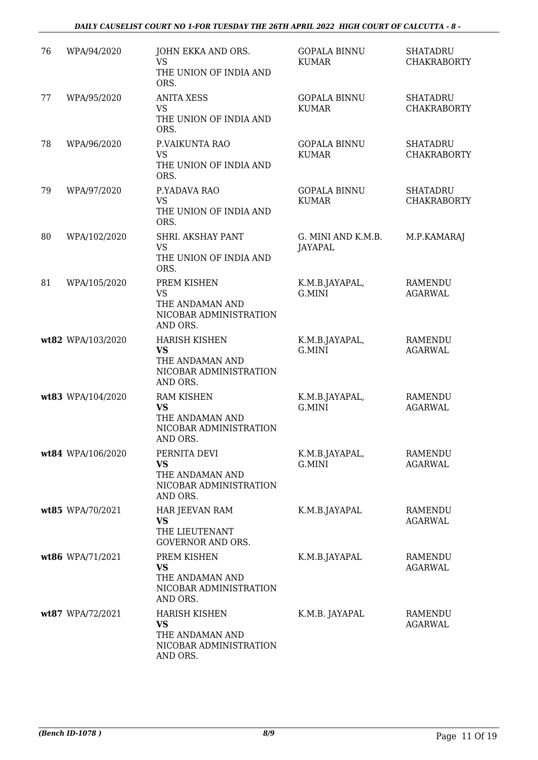#### *DAILY CAUSELIST COURT NO 1-FOR TUESDAY THE 26TH APRIL 2022 HIGH COURT OF CALCUTTA - 8 -*

| 76 | WPA/94/2020       | JOHN EKKA AND ORS.<br><b>VS</b><br>THE UNION OF INDIA AND<br>ORS.                          | <b>GOPALA BINNU</b><br><b>KUMAR</b> | <b>SHATADRU</b><br><b>CHAKRABORTY</b> |
|----|-------------------|--------------------------------------------------------------------------------------------|-------------------------------------|---------------------------------------|
| 77 | WPA/95/2020       | <b>ANITA XESS</b><br><b>VS</b><br>THE UNION OF INDIA AND<br>ORS.                           | <b>GOPALA BINNU</b><br><b>KUMAR</b> | <b>SHATADRU</b><br><b>CHAKRABORTY</b> |
| 78 | WPA/96/2020       | P.VAIKUNTA RAO<br><b>VS</b><br>THE UNION OF INDIA AND<br>ORS.                              | <b>GOPALA BINNU</b><br><b>KUMAR</b> | <b>SHATADRU</b><br><b>CHAKRABORTY</b> |
| 79 | WPA/97/2020       | P.YADAVA RAO<br><b>VS</b><br>THE UNION OF INDIA AND<br>ORS.                                | <b>GOPALA BINNU</b><br><b>KUMAR</b> | <b>SHATADRU</b><br><b>CHAKRABORTY</b> |
| 80 | WPA/102/2020      | SHRI. AKSHAY PANT<br><b>VS</b><br>THE UNION OF INDIA AND<br>ORS.                           | G. MINI AND K.M.B.<br>JAYAPAL       | M.P.KAMARAJ                           |
| 81 | WPA/105/2020      | PREM KISHEN<br><b>VS</b><br>THE ANDAMAN AND<br>NICOBAR ADMINISTRATION<br>AND ORS.          | K.M.B.JAYAPAL,<br>G.MINI            | RAMENDU<br><b>AGARWAL</b>             |
|    | wt82 WPA/103/2020 | <b>HARISH KISHEN</b><br><b>VS</b><br>THE ANDAMAN AND<br>NICOBAR ADMINISTRATION<br>AND ORS. | K.M.B.JAYAPAL,<br>G.MINI            | RAMENDU<br><b>AGARWAL</b>             |
|    | wt83 WPA/104/2020 | <b>RAM KISHEN</b><br><b>VS</b><br>THE ANDAMAN AND<br>NICOBAR ADMINISTRATION<br>AND ORS.    | K.M.B.JAYAPAL,<br>G.MINI            | <b>RAMENDU</b><br><b>AGARWAL</b>      |
|    | wt84 WPA/106/2020 | PERNITA DEVI<br><b>VS</b><br>THE ANDAMAN AND<br>NICOBAR ADMINISTRATION<br>AND ORS.         | K.M.B.JAYAPAL,<br>G.MINI            | <b>RAMENDU</b><br><b>AGARWAL</b>      |
|    | wt85 WPA/70/2021  | HAR JEEVAN RAM<br>VS.<br>THE LIEUTENANT<br><b>GOVERNOR AND ORS.</b>                        | K.M.B.JAYAPAL                       | <b>RAMENDU</b><br>AGARWAL             |
|    | wt86 WPA/71/2021  | PREM KISHEN<br><b>VS</b><br>THE ANDAMAN AND<br>NICOBAR ADMINISTRATION<br>AND ORS.          | K.M.B.JAYAPAL                       | <b>RAMENDU</b><br><b>AGARWAL</b>      |
|    | wt87 WPA/72/2021  | <b>HARISH KISHEN</b><br><b>VS</b><br>THE ANDAMAN AND<br>NICOBAR ADMINISTRATION<br>AND ORS. | K.M.B. JAYAPAL                      | <b>RAMENDU</b><br>AGARWAL             |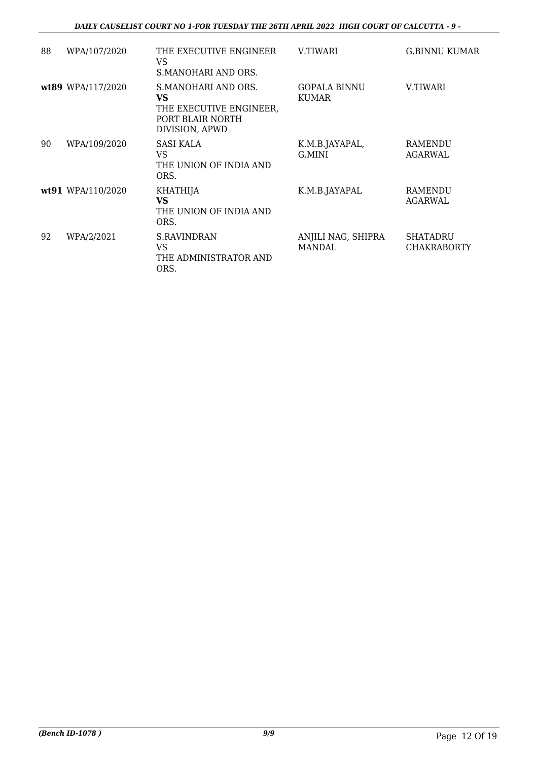#### *DAILY CAUSELIST COURT NO 1-FOR TUESDAY THE 26TH APRIL 2022 HIGH COURT OF CALCUTTA - 9 -*

| 88 | WPA/107/2020      | THE EXECUTIVE ENGINEER<br>VS<br>S.MANOHARI AND ORS.                                        | V.TIWARI                            | G.BINNU KUMAR                  |
|----|-------------------|--------------------------------------------------------------------------------------------|-------------------------------------|--------------------------------|
|    | wt89 WPA/117/2020 | S.MANOHARI AND ORS.<br>VS<br>THE EXECUTIVE ENGINEER,<br>PORT BLAIR NORTH<br>DIVISION, APWD | GOPALA BINNU<br><b>KUMAR</b>        | V.TIWARI                       |
| 90 | WPA/109/2020      | <b>SASI KALA</b><br>VS<br>THE UNION OF INDIA AND<br>ORS.                                   | K.M.B.JAYAPAL,<br>G.MINI            | <b>RAMENDU</b><br>AGARWAL      |
|    | wt91 WPA/110/2020 | <b>KHATHIJA</b><br><b>VS</b><br>THE UNION OF INDIA AND<br>ORS.                             | K.M.B.JAYAPAL                       | RAMENDU<br>AGARWAL             |
| 92 | WPA/2/2021        | <b>S.RAVINDRAN</b><br>VS<br>THE ADMINISTRATOR AND<br>ORS.                                  | ANJILI NAG, SHIPRA<br><b>MANDAL</b> | SHATADRU<br><b>CHAKRABORTY</b> |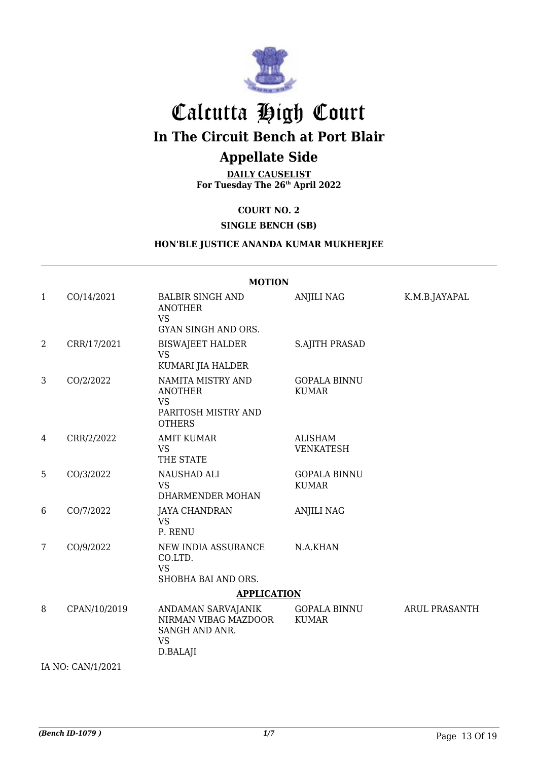

# Calcutta High Court

## **In The Circuit Bench at Port Blair**

### **Appellate Side**

**DAILY CAUSELIST For Tuesday The 26th April 2022**

**COURT NO. 2**

#### **SINGLE BENCH (SB)**

#### **HON'BLE JUSTICE ANANDA KUMAR MUKHERJEE**

#### **MOTION** 1 CO/14/2021 BALBIR SINGH AND ANOTHER VS GYAN SINGH AND ORS. ANJILI NAG K.M.B.JAYAPAL 2 CRR/17/2021 BISWAJEET HALDER VS KUMARI JIA HALDER S.AJITH PRASAD 3 CO/2/2022 NAMITA MISTRY AND ANOTHER VS PARITOSH MISTRY AND **OTHERS** GOPALA BINNU KUMAR 4 CRR/2/2022 AMIT KUMAR VS THE STATE ALISHAM VENKATESH 5 CO/3/2022 NAUSHAD ALI VS DHARMENDER MOHAN GOPALA BINNU KUMAR 6 CO/7/2022 JAYA CHANDRAN VS P. RENU ANJILI NAG 7 CO/9/2022 NEW INDIA ASSURANCE CO.LTD. VS SHOBHA BAI AND ORS. N.A.KHAN **APPLICATION** 8 CPAN/10/2019 ANDAMAN SARVAJANIK NIRMAN VIBAG MAZDOOR SANGH AND ANR. VS D.BALAJI GOPALA BINNU KUMAR ARUL PRASANTH

IA NO: CAN/1/2021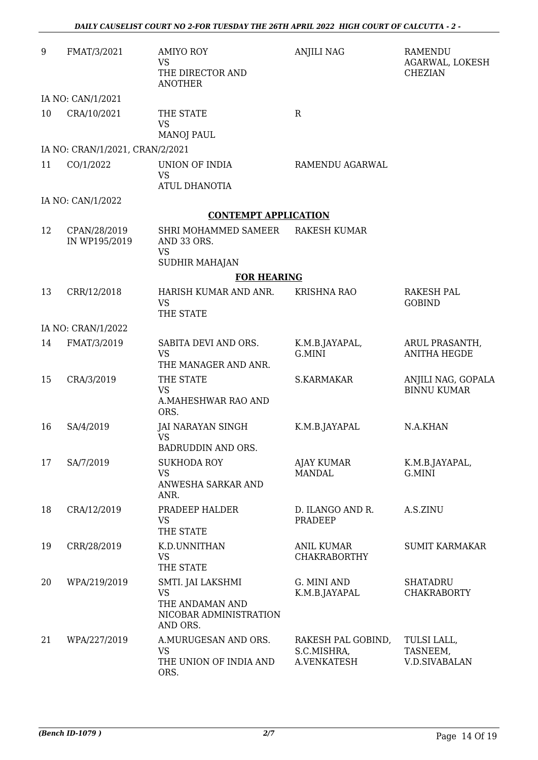| 9  | FMAT/3/2021                     | <b>AMIYO ROY</b><br><b>VS</b><br>THE DIRECTOR AND<br><b>ANOTHER</b>                     | <b>ANJILI NAG</b>                                | <b>RAMENDU</b><br>AGARWAL, LOKESH<br><b>CHEZIAN</b> |
|----|---------------------------------|-----------------------------------------------------------------------------------------|--------------------------------------------------|-----------------------------------------------------|
|    | IA NO: CAN/1/2021               |                                                                                         |                                                  |                                                     |
| 10 | CRA/10/2021                     | THE STATE<br><b>VS</b><br><b>MANOJ PAUL</b>                                             | $\mathbf R$                                      |                                                     |
|    | IA NO: CRAN/1/2021, CRAN/2/2021 |                                                                                         |                                                  |                                                     |
| 11 | CO/1/2022                       | UNION OF INDIA<br><b>VS</b><br><b>ATUL DHANOTIA</b>                                     | RAMENDU AGARWAL                                  |                                                     |
|    | IA NO: CAN/1/2022               |                                                                                         |                                                  |                                                     |
|    |                                 | <b>CONTEMPT APPLICATION</b>                                                             |                                                  |                                                     |
| 12 | CPAN/28/2019<br>IN WP195/2019   | SHRI MOHAMMED SAMEER<br>AND 33 ORS.<br><b>VS</b>                                        | <b>RAKESH KUMAR</b>                              |                                                     |
|    |                                 | <b>SUDHIR MAHAJAN</b>                                                                   |                                                  |                                                     |
|    |                                 | <b>FOR HEARING</b>                                                                      |                                                  |                                                     |
| 13 | CRR/12/2018                     | HARISH KUMAR AND ANR.<br><b>VS</b><br>THE STATE                                         | <b>KRISHNA RAO</b>                               | <b>RAKESH PAL</b><br><b>GOBIND</b>                  |
|    | IA NO: CRAN/1/2022              |                                                                                         |                                                  |                                                     |
| 14 | FMAT/3/2019                     | SABITA DEVI AND ORS.<br><b>VS</b><br>THE MANAGER AND ANR.                               | K.M.B.JAYAPAL,<br>G.MINI                         | ARUL PRASANTH,<br><b>ANITHA HEGDE</b>               |
| 15 | CRA/3/2019                      | THE STATE<br><b>VS</b><br>A.MAHESHWAR RAO AND<br>ORS.                                   | S.KARMAKAR                                       | ANJILI NAG, GOPALA<br><b>BINNU KUMAR</b>            |
| 16 | SA/4/2019                       | JAI NARAYAN SINGH<br><b>VS</b><br>BADRUDDIN AND ORS.                                    | K.M.B.JAYAPAL                                    | N.A.KHAN                                            |
| 17 | SA/7/2019                       | <b>SUKHODA ROY</b><br><b>VS</b><br>ANWESHA SARKAR AND<br>ANR.                           | <b>AJAY KUMAR</b><br><b>MANDAL</b>               | K.M.B.JAYAPAL,<br>G.MINI                            |
| 18 | CRA/12/2019                     | PRADEEP HALDER<br><b>VS</b><br>THE STATE                                                | D. ILANGO AND R.<br>PRADEEP                      | A.S.ZINU                                            |
| 19 | CRR/28/2019                     | K.D.UNNITHAN<br><b>VS</b><br>THE STATE                                                  | <b>ANIL KUMAR</b><br><b>CHAKRABORTHY</b>         | <b>SUMIT KARMAKAR</b>                               |
| 20 | WPA/219/2019                    | SMTI. JAI LAKSHMI<br><b>VS</b><br>THE ANDAMAN AND<br>NICOBAR ADMINISTRATION<br>AND ORS. | G. MINI AND<br>K.M.B.JAYAPAL                     | <b>SHATADRU</b><br><b>CHAKRABORTY</b>               |
| 21 | WPA/227/2019                    | A.MURUGESAN AND ORS.<br>VS<br>THE UNION OF INDIA AND<br>ORS.                            | RAKESH PAL GOBIND,<br>S.C.MISHRA,<br>A.VENKATESH | TULSI LALL,<br>TASNEEM,<br><b>V.D.SIVABALAN</b>     |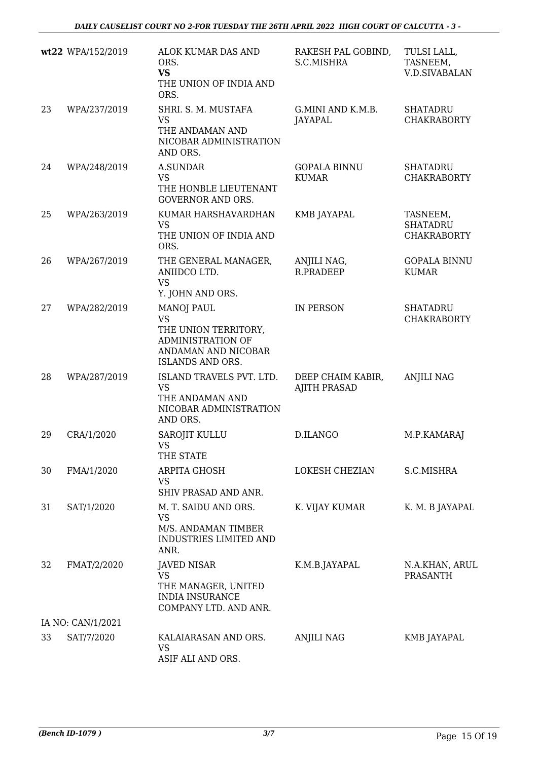|    | wt22 WPA/152/2019 | ALOK KUMAR DAS AND<br>ORS.<br><b>VS</b><br>THE UNION OF INDIA AND<br>ORS.                                                                                                                                                                                           | RAKESH PAL GOBIND,<br>S.C.MISHRA         | TULSI LALL,<br>TASNEEM,<br><b>V.D.SIVABALAN</b>   |
|----|-------------------|---------------------------------------------------------------------------------------------------------------------------------------------------------------------------------------------------------------------------------------------------------------------|------------------------------------------|---------------------------------------------------|
| 23 | WPA/237/2019      | SHRI. S. M. MUSTAFA<br><b>VS</b><br>THE ANDAMAN AND<br>NICOBAR ADMINISTRATION<br>AND ORS.                                                                                                                                                                           | G.MINI AND K.M.B.<br>JAYAPAL             | <b>SHATADRU</b><br><b>CHAKRABORTY</b>             |
| 24 | WPA/248/2019      | <b>A.SUNDAR</b><br><b>VS</b><br>THE HONBLE LIEUTENANT<br><b>GOVERNOR AND ORS.</b>                                                                                                                                                                                   | <b>GOPALA BINNU</b><br><b>KUMAR</b>      | <b>SHATADRU</b><br><b>CHAKRABORTY</b>             |
| 25 | WPA/263/2019      | KUMAR HARSHAVARDHAN<br><b>VS</b><br>THE UNION OF INDIA AND<br>ORS.                                                                                                                                                                                                  | KMB JAYAPAL                              | TASNEEM,<br><b>SHATADRU</b><br><b>CHAKRABORTY</b> |
| 26 | WPA/267/2019      | THE GENERAL MANAGER,<br>ANIIDCO LTD.<br><b>VS</b><br>Y. JOHN AND ORS.                                                                                                                                                                                               | ANJILI NAG,<br><b>R.PRADEEP</b>          | <b>GOPALA BINNU</b><br><b>KUMAR</b>               |
| 27 | WPA/282/2019      | <b>MANOJ PAUL</b><br><b>VS</b><br>THE UNION TERRITORY,<br>ADMINISTRATION OF<br>ANDAMAN AND NICOBAR<br>ISLANDS AND ORS.                                                                                                                                              | <b>IN PERSON</b>                         | <b>SHATADRU</b><br><b>CHAKRABORTY</b>             |
| 28 | WPA/287/2019      | ISLAND TRAVELS PVT. LTD.<br><b>VS</b><br>THE ANDAMAN AND<br>NICOBAR ADMINISTRATION<br>AND ORS.                                                                                                                                                                      | DEEP CHAIM KABIR,<br><b>AJITH PRASAD</b> | <b>ANJILI NAG</b>                                 |
| 29 | CRA/1/2020        | <b>SAROJIT KULLU</b><br>VS and the VS and the VS are the VS and the VS are the VS and the VS are the VS and the VS are the VS and the VS and the VS and T-VS and the VS are the VS and the VS are the VS and the VS and the VS and T-VS and T-VS and T<br>THE STATE | D.ILANGO                                 | M.P.KAMARAJ                                       |
| 30 | FMA/1/2020        | ARPITA GHOSH<br><b>VS</b><br>SHIV PRASAD AND ANR.                                                                                                                                                                                                                   | LOKESH CHEZIAN                           | S.C.MISHRA                                        |
| 31 | SAT/1/2020        | M. T. SAIDU AND ORS.<br><b>VS</b><br>M/S. ANDAMAN TIMBER<br>INDUSTRIES LIMITED AND<br>ANR.                                                                                                                                                                          | K. VIJAY KUMAR                           | K. M. B JAYAPAL                                   |
| 32 | FMAT/2/2020       | <b>JAVED NISAR</b><br><b>VS</b><br>THE MANAGER, UNITED<br><b>INDIA INSURANCE</b><br>COMPANY LTD. AND ANR.                                                                                                                                                           | K.M.B.JAYAPAL                            | N.A.KHAN, ARUL<br><b>PRASANTH</b>                 |
|    | IA NO: CAN/1/2021 |                                                                                                                                                                                                                                                                     |                                          |                                                   |
| 33 | SAT/7/2020        | KALAIARASAN AND ORS.<br><b>VS</b><br>ASIF ALI AND ORS.                                                                                                                                                                                                              | <b>ANJILI NAG</b>                        | KMB JAYAPAL                                       |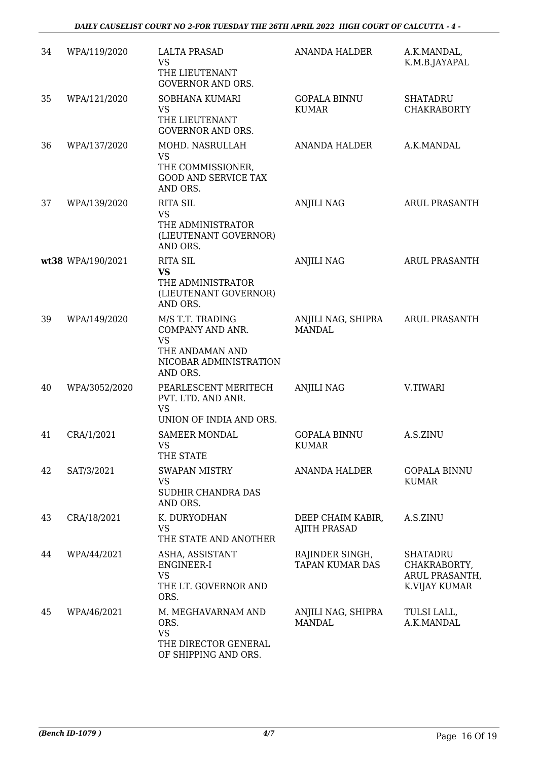| 34 | WPA/119/2020      | <b>LALTA PRASAD</b><br><b>VS</b><br>THE LIEUTENANT                                                         | <b>ANANDA HALDER</b>                      | A.K.MANDAL,<br>K.M.B.JAYAPAL                                       |
|----|-------------------|------------------------------------------------------------------------------------------------------------|-------------------------------------------|--------------------------------------------------------------------|
|    |                   | <b>GOVERNOR AND ORS.</b>                                                                                   |                                           |                                                                    |
| 35 | WPA/121/2020      | SOBHANA KUMARI<br><b>VS</b><br>THE LIEUTENANT<br><b>GOVERNOR AND ORS.</b>                                  | <b>GOPALA BINNU</b><br><b>KUMAR</b>       | <b>SHATADRU</b><br><b>CHAKRABORTY</b>                              |
| 36 | WPA/137/2020      | MOHD. NASRULLAH<br><b>VS</b><br>THE COMMISSIONER,<br><b>GOOD AND SERVICE TAX</b><br>AND ORS.               | ANANDA HALDER                             | A.K.MANDAL                                                         |
| 37 | WPA/139/2020      | <b>RITA SIL</b><br><b>VS</b><br>THE ADMINISTRATOR<br>(LIEUTENANT GOVERNOR)<br>AND ORS.                     | <b>ANJILI NAG</b>                         | ARUL PRASANTH                                                      |
|    | wt38 WPA/190/2021 | <b>RITA SIL</b><br><b>VS</b><br>THE ADMINISTRATOR<br>(LIEUTENANT GOVERNOR)<br>AND ORS.                     | <b>ANJILI NAG</b>                         | <b>ARUL PRASANTH</b>                                               |
| 39 | WPA/149/2020      | M/S T.T. TRADING<br>COMPANY AND ANR.<br><b>VS</b><br>THE ANDAMAN AND<br>NICOBAR ADMINISTRATION<br>AND ORS. | ANJILI NAG, SHIPRA<br><b>MANDAL</b>       | <b>ARUL PRASANTH</b>                                               |
| 40 | WPA/3052/2020     | PEARLESCENT MERITECH<br>PVT. LTD. AND ANR.<br><b>VS</b><br>UNION OF INDIA AND ORS.                         | <b>ANJILI NAG</b>                         | V.TIWARI                                                           |
| 41 | CRA/1/2021        | <b>SAMEER MONDAL</b><br>VS<br>THE STATE                                                                    | <b>GOPALA BINNU</b><br><b>KUMAR</b>       | A.S.ZINU                                                           |
| 42 | SAT/3/2021        | <b>SWAPAN MISTRY</b><br><b>VS</b><br>SUDHIR CHANDRA DAS<br>AND ORS.                                        | <b>ANANDA HALDER</b>                      | <b>GOPALA BINNU</b><br><b>KUMAR</b>                                |
| 43 | CRA/18/2021       | K. DURYODHAN<br><b>VS</b><br>THE STATE AND ANOTHER                                                         | DEEP CHAIM KABIR,<br><b>AJITH PRASAD</b>  | A.S.ZINU                                                           |
| 44 | WPA/44/2021       | ASHA, ASSISTANT<br>ENGINEER-I<br><b>VS</b><br>THE LT. GOVERNOR AND<br>ORS.                                 | RAJINDER SINGH,<br><b>TAPAN KUMAR DAS</b> | <b>SHATADRU</b><br>CHAKRABORTY,<br>ARUL PRASANTH,<br>K.VIJAY KUMAR |
| 45 | WPA/46/2021       | M. MEGHAVARNAM AND<br>ORS.<br><b>VS</b><br>THE DIRECTOR GENERAL<br>OF SHIPPING AND ORS.                    | ANJILI NAG, SHIPRA<br><b>MANDAL</b>       | TULSI LALL,<br>A.K.MANDAL                                          |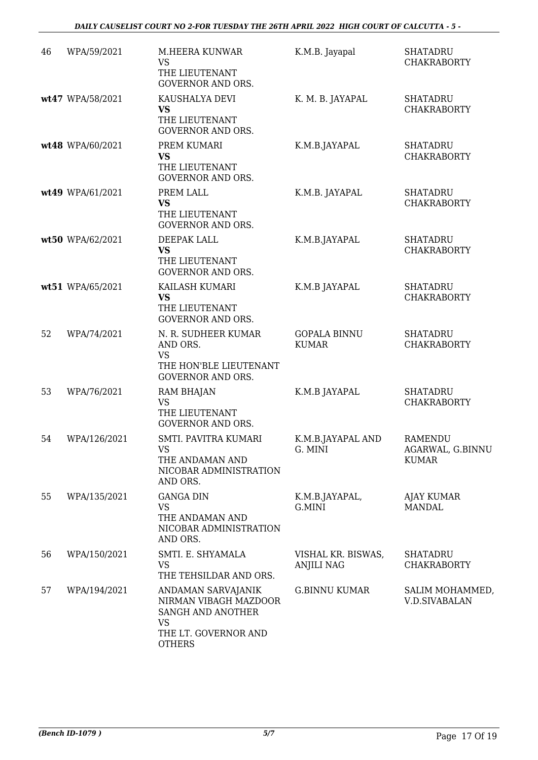| 46 | WPA/59/2021      | M.HEERA KUNWAR<br><b>VS</b><br>THE LIEUTENANT<br><b>GOVERNOR AND ORS.</b>                                              | K.M.B. Jayapal                      | <b>SHATADRU</b><br><b>CHAKRABORTY</b>              |
|----|------------------|------------------------------------------------------------------------------------------------------------------------|-------------------------------------|----------------------------------------------------|
|    | wt47 WPA/58/2021 | KAUSHALYA DEVI<br><b>VS</b><br>THE LIEUTENANT<br>GOVERNOR AND ORS.                                                     | K. M. B. JAYAPAL                    | <b>SHATADRU</b><br><b>CHAKRABORTY</b>              |
|    | wt48 WPA/60/2021 | PREM KUMARI<br><b>VS</b><br>THE LIEUTENANT<br><b>GOVERNOR AND ORS.</b>                                                 | K.M.B.JAYAPAL                       | <b>SHATADRU</b><br><b>CHAKRABORTY</b>              |
|    | wt49 WPA/61/2021 | PREM LALL<br><b>VS</b><br>THE LIEUTENANT<br><b>GOVERNOR AND ORS.</b>                                                   | K.M.B. JAYAPAL                      | <b>SHATADRU</b><br><b>CHAKRABORTY</b>              |
|    | wt50 WPA/62/2021 | DEEPAK LALL<br><b>VS</b><br>THE LIEUTENANT<br><b>GOVERNOR AND ORS.</b>                                                 | K.M.B.JAYAPAL                       | <b>SHATADRU</b><br><b>CHAKRABORTY</b>              |
|    | wt51 WPA/65/2021 | KAILASH KUMARI<br><b>VS</b><br>THE LIEUTENANT<br><b>GOVERNOR AND ORS.</b>                                              | K.M.B JAYAPAL                       | <b>SHATADRU</b><br><b>CHAKRABORTY</b>              |
| 52 | WPA/74/2021      | N. R. SUDHEER KUMAR<br>AND ORS.<br><b>VS</b><br>THE HON'BLE LIEUTENANT<br><b>GOVERNOR AND ORS.</b>                     | <b>GOPALA BINNU</b><br><b>KUMAR</b> | <b>SHATADRU</b><br><b>CHAKRABORTY</b>              |
| 53 | WPA/76/2021      | <b>RAM BHAJAN</b><br><b>VS</b><br>THE LIEUTENANT<br><b>GOVERNOR AND ORS.</b>                                           | K.M.B JAYAPAL                       | <b>SHATADRU</b><br><b>CHAKRABORTY</b>              |
| 54 | WPA/126/2021     | SMTI. PAVITRA KUMARI<br><b>VS</b><br>THE ANDAMAN AND<br>NICOBAR ADMINISTRATION<br>AND ORS.                             | K.M.B.JAYAPAL AND<br>G. MINI        | <b>RAMENDU</b><br>AGARWAL, G.BINNU<br><b>KUMAR</b> |
| 55 | WPA/135/2021     | <b>GANGA DIN</b><br><b>VS</b><br>THE ANDAMAN AND<br>NICOBAR ADMINISTRATION<br>AND ORS.                                 | K.M.B.JAYAPAL,<br>G.MINI            | <b>AJAY KUMAR</b><br><b>MANDAL</b>                 |
| 56 | WPA/150/2021     | SMTI. E. SHYAMALA<br><b>VS</b><br>THE TEHSILDAR AND ORS.                                                               | VISHAL KR. BISWAS,<br>ANJILI NAG    | <b>SHATADRU</b><br><b>CHAKRABORTY</b>              |
| 57 | WPA/194/2021     | ANDAMAN SARVAJANIK<br>NIRMAN VIBAGH MAZDOOR<br>SANGH AND ANOTHER<br><b>VS</b><br>THE LT. GOVERNOR AND<br><b>OTHERS</b> | <b>G.BINNU KUMAR</b>                | SALIM MOHAMMED,<br><b>V.D.SIVABALAN</b>            |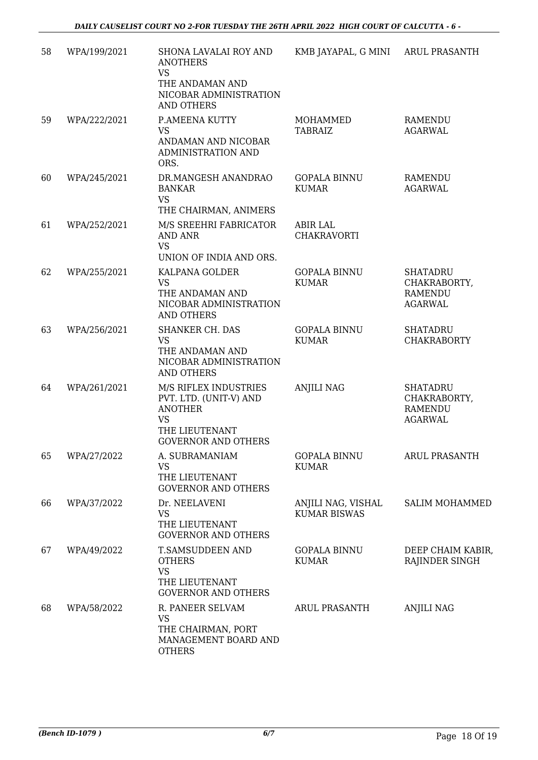| 58 | WPA/199/2021 | SHONA LAVALAI ROY AND                                                          | KMB JAYAPAL, G MINI                       | <b>ARUL PRASANTH</b>                                                |
|----|--------------|--------------------------------------------------------------------------------|-------------------------------------------|---------------------------------------------------------------------|
|    |              | <b>ANOTHERS</b><br><b>VS</b><br>THE ANDAMAN AND                                |                                           |                                                                     |
|    |              | NICOBAR ADMINISTRATION<br><b>AND OTHERS</b>                                    |                                           |                                                                     |
| 59 | WPA/222/2021 | P.AMEENA KUTTY<br><b>VS</b>                                                    | <b>MOHAMMED</b><br><b>TABRAIZ</b>         | <b>RAMENDU</b><br><b>AGARWAL</b>                                    |
|    |              | ANDAMAN AND NICOBAR<br><b>ADMINISTRATION AND</b><br>ORS.                       |                                           |                                                                     |
| 60 | WPA/245/2021 | DR.MANGESH ANANDRAO<br><b>BANKAR</b><br><b>VS</b><br>THE CHAIRMAN, ANIMERS     | <b>GOPALA BINNU</b><br><b>KUMAR</b>       | RAMENDU<br><b>AGARWAL</b>                                           |
| 61 | WPA/252/2021 | M/S SREEHRI FABRICATOR<br><b>AND ANR</b>                                       | <b>ABIR LAL</b><br><b>CHAKRAVORTI</b>     |                                                                     |
|    |              | <b>VS</b><br>UNION OF INDIA AND ORS.                                           |                                           |                                                                     |
| 62 | WPA/255/2021 | KALPANA GOLDER<br><b>VS</b>                                                    | <b>GOPALA BINNU</b><br><b>KUMAR</b>       | <b>SHATADRU</b><br>CHAKRABORTY,                                     |
|    |              | THE ANDAMAN AND<br>NICOBAR ADMINISTRATION<br><b>AND OTHERS</b>                 |                                           | <b>RAMENDU</b><br><b>AGARWAL</b>                                    |
| 63 | WPA/256/2021 | <b>SHANKER CH. DAS</b><br><b>VS</b>                                            | <b>GOPALA BINNU</b><br><b>KUMAR</b>       | <b>SHATADRU</b><br><b>CHAKRABORTY</b>                               |
|    |              | THE ANDAMAN AND<br>NICOBAR ADMINISTRATION<br><b>AND OTHERS</b>                 |                                           |                                                                     |
| 64 | WPA/261/2021 | M/S RIFLEX INDUSTRIES<br>PVT. LTD. (UNIT-V) AND<br><b>ANOTHER</b><br><b>VS</b> | <b>ANJILI NAG</b>                         | <b>SHATADRU</b><br>CHAKRABORTY,<br><b>RAMENDU</b><br><b>AGARWAL</b> |
|    |              | THE LIEUTENANT<br><b>GOVERNOR AND OTHERS</b>                                   |                                           |                                                                     |
| 65 | WPA/27/2022  | A. SUBRAMANIAM<br><b>VS</b><br>THE LIEUTENANT                                  | <b>GOPALA BINNU</b><br><b>KUMAR</b>       | ARUL PRASANTH                                                       |
|    |              | <b>GOVERNOR AND OTHERS</b>                                                     |                                           |                                                                     |
| 66 | WPA/37/2022  | Dr. NEELAVENI<br><b>VS</b><br>THE LIEUTENANT                                   | ANJILI NAG, VISHAL<br><b>KUMAR BISWAS</b> | <b>SALIM MOHAMMED</b>                                               |
|    |              | <b>GOVERNOR AND OTHERS</b>                                                     |                                           |                                                                     |
| 67 | WPA/49/2022  | T.SAMSUDDEEN AND<br><b>OTHERS</b><br><b>VS</b>                                 | <b>GOPALA BINNU</b><br><b>KUMAR</b>       | DEEP CHAIM KABIR,<br>RAJINDER SINGH                                 |
|    |              | THE LIEUTENANT<br><b>GOVERNOR AND OTHERS</b>                                   |                                           |                                                                     |
| 68 | WPA/58/2022  | R. PANEER SELVAM                                                               | <b>ARUL PRASANTH</b>                      | <b>ANJILI NAG</b>                                                   |
|    |              | <b>VS</b><br>THE CHAIRMAN, PORT<br>MANAGEMENT BOARD AND<br><b>OTHERS</b>       |                                           |                                                                     |